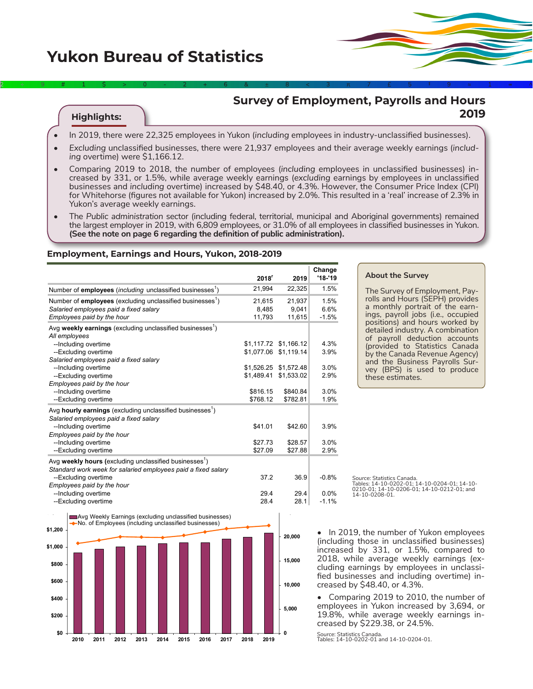# **Yukon Bureau of Statistics**

**Highlights:**



# **Survey of Employment, Payrolls and Hours 2019**

• In 2019, there were 22,325 employees in Yukon (*including* employees in industry-unclassified businesses).

2÷9#1\$>0-2+6&±8<3π7£5‡9≈1∞^

- *• Excluding* unclassified businesses, there were 21,937 employees and their average weekly earnings (*including* overtime) were \$1,166.12.
- Comparing 2019 to 2018, the number of employees (*including* employees in unclassified businesses) increased by 331, or 1.5%, while average weekly earnings (*excluding* earnings by employees in unclassified businesses and *including* overtime) increased by \$48.40, or 4.3%. However, the Consumer Price Index (CPI) for Whitehorse (figures not available for Yukon) increased by 2.0%. This resulted in a 'real' increase of 2.3% in Yukon's average weekly earnings.
- The *Public administration* sector (including federal, territorial, municipal and Aboriginal governments) remained the largest employer in 2019, with 6,809 employees, or 31.0% of all employees in classified businesses in Yukon. **(See the note on page 6 regarding the definition of public administration).**

#### **Employment, Earnings and Hours, Yukon, 2018-2019**

|                                                                                                                 |                   |                       | Change     |
|-----------------------------------------------------------------------------------------------------------------|-------------------|-----------------------|------------|
|                                                                                                                 | 2018 <sup>r</sup> | 2019                  | $'18 - 19$ |
| Number of employees (including unclassified businesses <sup>1</sup> )                                           | 21,994            | 22,325                | 1.5%       |
| Number of employees (excluding unclassified businesses <sup>1</sup> )                                           | 21,615            | 21,937                | 1.5%       |
| Salaried employees paid a fixed salary                                                                          | 8.485             | 9.041                 | 6.6%       |
| Employees paid by the hour                                                                                      | 11,793            | 11,615                | $-1.5%$    |
| Avg weekly earnings (excluding unclassified businesses <sup>1</sup> )<br>All employees                          |                   |                       |            |
| --Including overtime                                                                                            |                   | \$1,117.72 \$1,166.12 | 4.3%       |
| --Excluding overtime                                                                                            |                   | \$1,077.06 \$1,119.14 | 3.9%       |
| Salaried employees paid a fixed salary                                                                          |                   |                       |            |
| --Including overtime                                                                                            | \$1,526.25        | \$1,572.48            | $3.0\%$    |
| --Excluding overtime                                                                                            | \$1,489.41        | \$1,533.02            | 2.9%       |
| Employees paid by the hour                                                                                      |                   |                       |            |
| --Including overtime                                                                                            | \$816.15          | \$840.84              | 3.0%       |
| --Excluding overtime                                                                                            | \$768.12          | \$782.81              | 1.9%       |
| Avg hourly earnings (excluding unclassified businesses <sup>1</sup> )<br>Salaried employees paid a fixed salary |                   |                       |            |
| --Including overtime                                                                                            | \$41.01           | \$42.60               | 3.9%       |
| Employees paid by the hour                                                                                      |                   |                       |            |
| --Including overtime                                                                                            | \$27.73           | \$28.57               | 3.0%       |
| --Excluding overtime                                                                                            | \$27.09           | \$27.88               | 2.9%       |
| Avg weekly hours (excluding unclassified businesses <sup>1</sup> )                                              |                   |                       |            |
| Standard work week for salaried employees paid a fixed salary                                                   |                   |                       |            |
| --Excluding overtime                                                                                            | 37.2              | 36.9                  | $-0.8%$    |
| Employees paid by the hour                                                                                      |                   |                       |            |
| --Including overtime                                                                                            | 29.4              | 29.4                  | $0.0\%$    |
| --Excluding overtime                                                                                            | 28.4              | 28.1                  | $-1.1%$    |

## **About the Survey**

The Survey of Employment, Payrolls and Hours (SEPH) provides a monthly portrait of the earnings, payroll jobs (i.e., occupied positions) and hours worked by detailed industry. A combination of payroll deduction accounts (provided to Statistics Canada by the Canada Revenue Agency) and the Business Payrolls Survey (BPS) is used to produce these estimates.

*Source*: Statistics Canada. Tables: 14-10-0202-01; 14-10-0204-01; 14-10- 0210-01; 14-10-0206-01; 14-10-0212-01; and 14-10-0208-01.

• In 2019, the number of Yukon employees (including those in unclassified businesses) increased by 331, or 1.5%, compared to 2018, while average weekly earnings (excluding earnings by employees in unclassified businesses and including overtime) increased by \$48.40, or 4.3%.

• Comparing 2019 to 2010, the number of employees in Yukon increased by 3,694, or 19.8%, while average weekly earnings increased by \$229.38, or 24.5%.

*Source*: Statistics Canada. Tables: 14-10-0202-01 and 14-10-0204-01.

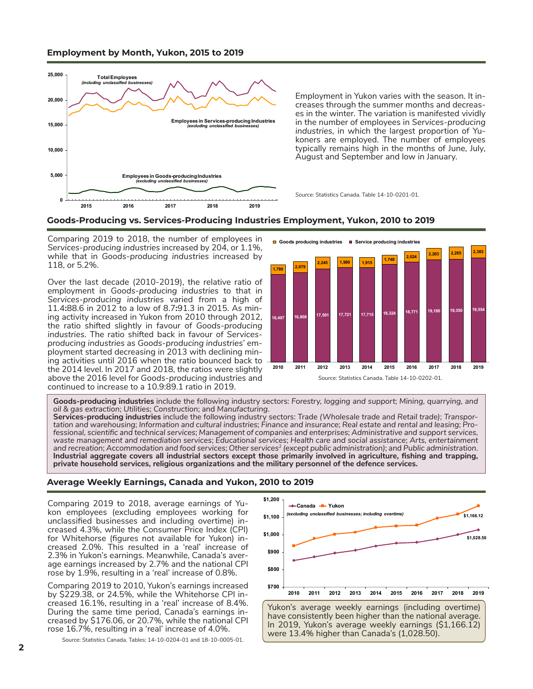#### **Employment by Month, Yukon, 2015 to 2019**



Employment in Yukon varies with the season. It increases through the summer months and decreases in the winter. The variation is manifested vividly in the number of employees in *Services-producing industries*, in which the largest proportion of Yukoners are employed. The number of employees typically remains high in the months of June, July, August and September and low in January.

*Source*: Statistics Canada. Table 14-10-0201-01.



Comparing 2019 to 2018, the number of employees in *Services-producing industries* increased by 204, or 1.1%, while that in *Goods-producing industries* increased by 118, or 5.2%.

Over the last decade (2010-2019), the relative ratio of employment in *Goods-producing industries* to that in *Services-producing industries* varied from a high of 11.4**:**88.6 in 2012 to a low of 8.7**:**91.3 in 2015. As mining activity increased in Yukon from 2010 through 2012, the ratio shifted slightly in favour of *Goods-producing industries*. The ratio shifted back in favour of *Servicesproducing industries* as *Goods-producing industries*' employment started decreasing in 2013 with declining mining activities until 2016 when the ratio bounced back to the 2014 level. In 2017 and 2018, the ratios were slightly above the 2016 level for *Goods-producing* industries and continued to increase to a 10.9:89.1 ratio in 2019.



**Goods-producing industries** include the following industry sectors: *Forestry, logging and support*; *Mining, quarrying, and oil & gas extraction*; *Utilities*; *Construction*; and *Manufacturing*.

**Services-producing industries** include the following industry sectors: Trade *(Wholesale trade* and *Retail trade)*; *Transportation and warehousing*; *Information and cultural industries*; *Finance and insurance*; *Real estate and rental and leasing*; *Professional, scientific and technical services*; *Management of companies and enterprises*; *Administrative and support services, waste management and remediation services*; *Educational services*; *Health care and social assistance*; *Arts, entertainment*  Industrial aggregate covers all industrial sectors except those primarily involved in agriculture, fishing and trapping, **private household services, religious organizations and the military personnel of the defence services.**

#### **Average Weekly Earnings, Canada and Yukon, 2010 to 2019**

Comparing 2019 to 2018, average earnings of Yukon employees (excluding employees working for unclassified businesses and including overtime) increased 4.3%, while the Consumer Price Index (CPI) for Whitehorse (figures not available for Yukon) increased 2.0%. This resulted in a 'real' increase of 2.3% in Yukon's earnings. Meanwhile, Canada's average earnings increased by 2.7% and the national CPI rose by 1.9%, resulting in a 'real' increase of 0.8%.

Comparing 2019 to 2010, Yukon's earnings increased by \$229.38, or 24.5%, while the Whitehorse CPI increased 16.1%, resulting in a 'real' increase of 8.4%. During the same time period, Canada's earnings increased by \$176.06, or 20.7%, while the national CPI rose 16.7%, resulting in a 'real' increase of 4.0%.

*Source*: Statistics Canada. Tables: 14-10-0204-01 and 18-10-0005-01.

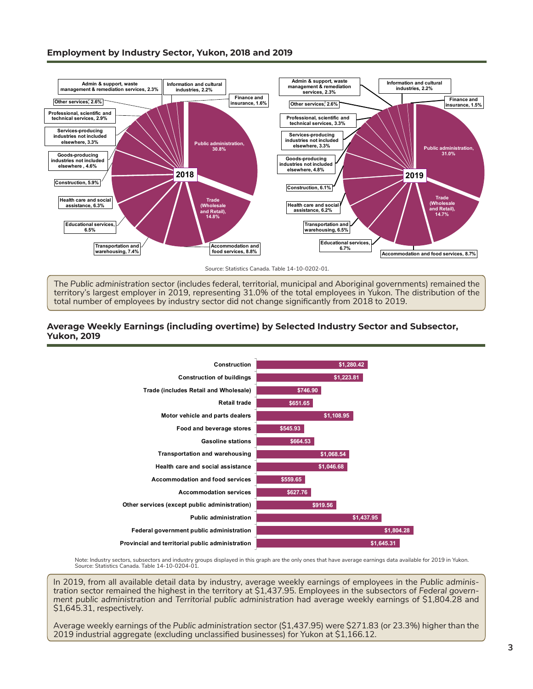#### **Employment by Industry Sector, Yukon, 2018 and 2019**



The *Public administration* sector (includes federal, territorial, municipal and Aboriginal governments) remained the territory's largest employer in 2019, representing 31.0% of the total employees in Yukon. The distribution of the total number of employees by industry sector did not change significantly from 2018 to 2019.

#### **Average Weekly Earnings (including overtime) by Selected Industry Sector and Subsector, Yukon, 2019**



Note: Industry sectors, subsectors and industry groups displayed in this graph are the only ones that have average earnings data available for 2019 in Yukon. *Source*: Statistics Canada. Table 14-10-0204-01.

In 2019, from all available detail data by industry, average weekly earnings of employees in the *Public administration* sector remained the highest in the territory at \$1,437.95. Employees in the subsectors of *Federal government public administration* and *Territorial public administration* had average weekly earnings of \$1,804.28 and \$1,645.31, respectively.

Average weekly earnings of the *Public administration* sector (\$1,437.95) were \$271.83 (or 23.3%) higher than the 2019 industrial aggregate (excluding unclassified businesses) for Yukon at \$1,166.12.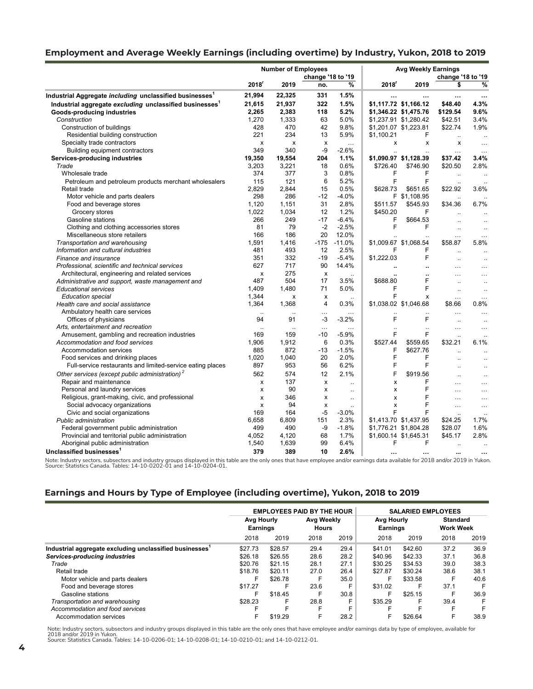#### **Employment and Average Weekly Earnings (including overtime) by Industry, Yukon, 2018 to 2019**

| change '18 to '19<br>change '18 to '19<br>%<br>2018 <sup>r</sup><br>%<br>$2018^r$<br>2019<br>2019<br>no.<br>s<br>21,994<br>22,325<br>1.5%<br>Industrial Aggregate including unclassified businesses <sup>1</sup><br>331<br>$\ddotsc$<br>$\ddotsc$<br><br>21,937<br>322<br>1.5%<br>4.3%<br>21,615<br>\$1,117.72 \$1,166.12<br>\$48.40<br>Industrial aggregate excluding unclassified businesses <sup>1</sup><br>5.2%<br>\$129.54<br>9.6%<br>2,265<br>2,383<br>118<br>\$1,346.22 \$1,475.76<br>Goods-producing industries<br>\$42.51<br>3.4%<br>Construction<br>1,270<br>1,333<br>63<br>5.0%<br>\$1,237.91 \$1,280.42<br>1.9%<br>428<br>470<br>42<br>9.8%<br>\$1,201.07 \$1,223.81<br>\$22.74<br>Construction of buildings<br>234<br>5.9%<br>Residential building construction<br>221<br>13<br>\$1,100.21<br>F<br>$\ddot{\phantom{a}}$<br>$\ddotsc$<br>Specialty trade contractors<br>x<br>X<br>x<br>x<br>x<br>x<br>$\cdots$<br>$\cdots$<br>349<br>Building equipment contractors<br>340<br>-9<br>$-2.6%$<br>$\cdots$<br>$\cdots$<br>3.4%<br>\$1,090.97 \$1,128.39<br>19,350<br>19,554<br>204<br>1.1%<br>\$37.42<br>Services-producing industries<br>2.8%<br>Trade<br>3,203<br>3,221<br>18<br>0.6%<br>\$726.40<br>\$746.90<br>\$20.50<br>374<br>377<br>F<br>F<br>Wholesale trade<br>3<br>0.8%<br>6<br>F<br>F<br>121<br>5.2%<br>Petroleum and petroleum products merchant wholesalers<br>115<br>2.829<br>2,844<br>0.5%<br>\$628.73<br>\$651.65<br>\$22.92<br>3.6%<br>Retail trade<br>15<br>298<br>286<br>$-12$<br>$-4.0%$<br>Motor vehicle and parts dealers<br>F \$1,108.95<br>31<br>2.8%<br>6.7%<br>Food and beverage stores<br>1,120<br>1,151<br>\$511.57<br>\$545.93<br>\$34.36<br>1,022<br>1,034<br>1.2%<br>\$450.20<br>Grocery stores<br>12<br>F<br>$\ddotsc$<br>$\ddotsc$<br>249<br>-17<br>$-6.4%$<br>F<br>\$664.53<br>Gasoline stations<br>266<br>$\ddot{\phantom{a}}$<br>$\ddot{\phantom{a}}$<br>F<br>81<br>79<br>$-2$<br>$-2.5%$<br>F<br>Clothing and clothing accessories stores<br>$\ddot{\phantom{a}}$<br>$\ddotsc$<br>166<br>186<br>20<br>12.0%<br>Miscellaneous store retailers<br>$\cdots$<br>$\cdots$<br>\$1,009.67 \$1,068.54<br>5.8%<br>1,591<br>1,416<br>$-175$<br>$-11.0%$<br>\$58.87<br>Transportation and warehousing<br>493<br>F<br>481<br>12<br>2.5%<br>F<br>Information and cultural industries<br>$\ddotsc$<br>$\ddotsc$<br>332<br>F<br>351<br>$-19$<br>$-5.4%$<br>\$1,222.03<br><b>Finance and insurance</b><br>$\ddot{\phantom{a}}$<br>$\ddotsc$<br>627<br>717<br>90<br>14.4%<br>Professional, scientific and technical services<br>$\ddot{\phantom{a}}$<br>$\ddot{\phantom{a}}$<br>$\cdots$<br>$\cdots$<br>275<br>Architectural, engineering and related services<br>X<br>х<br>$\ddot{\phantom{a}}$<br>$\ddot{\phantom{a}}$<br>$\cdots$<br>$\cdots$<br>F<br>487<br>504<br>3.5%<br>17<br>\$688.80<br>Administrative and support, waste management and<br>$\ddot{\phantom{a}}$<br>F<br>1,409<br>F<br>1,480<br>71<br>5.0%<br><b>Educational services</b><br>$\ddot{\phantom{a}}$<br>$\ddot{\phantom{a}}$<br>F<br>1,344<br><b>Education special</b><br>X<br>х<br>X<br>$\cdots$<br>$\ddot{\phantom{a}}$<br>$\ddotsc$<br>1,364<br>\$1,038.02 \$1,046.68<br>0.8%<br>1,368<br>4<br>0.3%<br>\$8.66<br>Health care and social assistance<br>Ambulatory health care services<br>$\sim$<br>$\ddotsc$<br>$\mathbb{Z}^2$<br>$\cdots$<br>$\ddotsc$<br>$\ddot{\phantom{a}}$<br>$\ddotsc$<br>F<br>F<br>$-3$<br>Offices of physicians<br>94<br>91<br>$-3.2%$<br>$\sim$<br>$\ddot{\phantom{a}}$<br>Arts, entertainment and recreation<br>$\ldots$<br>$\cdots$<br>$\ddotsc$<br>$\ddotsc$<br>$\cdots$<br>$\cdots$<br>$\ddotsc$<br>$\ddotsc$<br>F<br>F<br>Amusement, gambling and recreation industries<br>169<br>159<br>-10<br>$-5.9%$<br>$\ddot{\phantom{a}}$<br>6.1%<br>\$527.44<br>\$559.65<br>\$32.21<br>Accommodation and food services<br>1,906<br>1,912<br>6<br>0.3%<br>872<br>F<br>885<br>$-13$<br>$-1.5%$<br>\$627.76<br>Accommodation services<br>$\ddotsc$<br>$\ddotsc$<br>F<br>F<br>1,020<br>1,040<br>20<br>2.0%<br>Food services and drinking places<br>ä.<br>$\ddotsc$<br>F<br>F<br>Full-service restaurants and limited-service eating places<br>897<br>953<br>6.2%<br>56<br>$\ddotsc$<br>$\ddotsc$<br>Other services (except public administration) <sup>2</sup><br>562<br>574<br>F<br>$12 \overline{ }$<br>2.1%<br>\$919.56<br>$\ddot{\phantom{a}}$<br>$\ddot{\phantom{a}}$<br>Repair and maintenance<br>137<br>F<br>X<br>x<br>x<br>$\ddot{\phantom{a}}$<br>$\ddotsc$<br>$\cdots$<br>F<br>Personal and laundry services<br>90<br>x<br>x<br>x<br>$\ddotsc$<br>$\cdots$<br>$\ddotsc$<br>F<br>Religious, grant-making, civic, and professional<br>346<br>x<br>x<br>x<br>$\ddot{\phantom{a}}$<br>$\ddotsc$<br>.<br>F<br>Social advocacy organizations<br>94<br>$\pmb{\times}$<br>x<br>x<br>$\cdots$<br>$\cdots$<br>$\mathbf{r}$ .<br>F<br>F<br>Civic and social organizations<br>169<br>164<br>-5<br>$-3.0%$<br>$\ddotsc$<br>$\ddot{\phantom{a}}$<br>6.809<br>2.3%<br>1.7%<br>6.658<br>151<br>\$1,413.70 \$1,437.95<br>\$24.25<br><b>Public administration</b><br>1.6%<br>Federal government public administration<br>499<br>490<br>-9<br>$-1.8%$<br>\$1,776.21 \$1,804.28<br>\$28.07<br>1.7%<br>2.8%<br>Provincial and territorial public administration<br>4,052<br>4,120<br>68<br>\$1,600.14 \$1,645.31<br>\$45.17<br>F<br>F<br>Aboriginal public administration<br>1,540<br>1,639<br>99<br>6.4%<br>$\ddot{\phantom{a}}$<br>Unclassified businesses <sup>1</sup><br>389<br>379<br>10<br>2.6%<br><br><br> | <b>Number of Employees</b> |  |  |  | <b>Avg Weekly Earnings</b> |  |  |  |
|--------------------------------------------------------------------------------------------------------------------------------------------------------------------------------------------------------------------------------------------------------------------------------------------------------------------------------------------------------------------------------------------------------------------------------------------------------------------------------------------------------------------------------------------------------------------------------------------------------------------------------------------------------------------------------------------------------------------------------------------------------------------------------------------------------------------------------------------------------------------------------------------------------------------------------------------------------------------------------------------------------------------------------------------------------------------------------------------------------------------------------------------------------------------------------------------------------------------------------------------------------------------------------------------------------------------------------------------------------------------------------------------------------------------------------------------------------------------------------------------------------------------------------------------------------------------------------------------------------------------------------------------------------------------------------------------------------------------------------------------------------------------------------------------------------------------------------------------------------------------------------------------------------------------------------------------------------------------------------------------------------------------------------------------------------------------------------------------------------------------------------------------------------------------------------------------------------------------------------------------------------------------------------------------------------------------------------------------------------------------------------------------------------------------------------------------------------------------------------------------------------------------------------------------------------------------------------------------------------------------------------------------------------------------------------------------------------------------------------------------------------------------------------------------------------------------------------------------------------------------------------------------------------------------------------------------------------------------------------------------------------------------------------------------------------------------------------------------------------------------------------------------------------------------------------------------------------------------------------------------------------------------------------------------------------------------------------------------------------------------------------------------------------------------------------------------------------------------------------------------------------------------------------------------------------------------------------------------------------------------------------------------------------------------------------------------------------------------------------------------------------------------------------------------------------------------------------------------------------------------------------------------------------------------------------------------------------------------------------------------------------------------------------------------------------------------------------------------------------------------------------------------------------------------------------------------------------------------------------------------------------------------------------------------------------------------------------------------------------------------------------------------------------------------------------------------------------------------------------------------------------------------------------------------------------------------------------------------------------------------------------------------------------------------------------------------------------------------------------------------------------------------------------------------------------------------------------------------------------------------------------------------------------------------------------------------------------------------------------------------------------------------------------------------------------------------------------------------------------------------------------------------------------------------------------------------------------------------------------------------------------------------------------------------------------------------------------------------------------------------------------------------------------------------------------------------------------------------------------------------------------------------------------|----------------------------|--|--|--|----------------------------|--|--|--|
|                                                                                                                                                                                                                                                                                                                                                                                                                                                                                                                                                                                                                                                                                                                                                                                                                                                                                                                                                                                                                                                                                                                                                                                                                                                                                                                                                                                                                                                                                                                                                                                                                                                                                                                                                                                                                                                                                                                                                                                                                                                                                                                                                                                                                                                                                                                                                                                                                                                                                                                                                                                                                                                                                                                                                                                                                                                                                                                                                                                                                                                                                                                                                                                                                                                                                                                                                                                                                                                                                                                                                                                                                                                                                                                                                                                                                                                                                                                                                                                                                                                                                                                                                                                                                                                                                                                                                                                                                                                                                                                                                                                                                                                                                                                                                                                                                                                                                                                                                                                                                                                                                                                                                                                                                                                                                                                                                                                                                                                                                                                                |                            |  |  |  |                            |  |  |  |
|                                                                                                                                                                                                                                                                                                                                                                                                                                                                                                                                                                                                                                                                                                                                                                                                                                                                                                                                                                                                                                                                                                                                                                                                                                                                                                                                                                                                                                                                                                                                                                                                                                                                                                                                                                                                                                                                                                                                                                                                                                                                                                                                                                                                                                                                                                                                                                                                                                                                                                                                                                                                                                                                                                                                                                                                                                                                                                                                                                                                                                                                                                                                                                                                                                                                                                                                                                                                                                                                                                                                                                                                                                                                                                                                                                                                                                                                                                                                                                                                                                                                                                                                                                                                                                                                                                                                                                                                                                                                                                                                                                                                                                                                                                                                                                                                                                                                                                                                                                                                                                                                                                                                                                                                                                                                                                                                                                                                                                                                                                                                |                            |  |  |  |                            |  |  |  |
|                                                                                                                                                                                                                                                                                                                                                                                                                                                                                                                                                                                                                                                                                                                                                                                                                                                                                                                                                                                                                                                                                                                                                                                                                                                                                                                                                                                                                                                                                                                                                                                                                                                                                                                                                                                                                                                                                                                                                                                                                                                                                                                                                                                                                                                                                                                                                                                                                                                                                                                                                                                                                                                                                                                                                                                                                                                                                                                                                                                                                                                                                                                                                                                                                                                                                                                                                                                                                                                                                                                                                                                                                                                                                                                                                                                                                                                                                                                                                                                                                                                                                                                                                                                                                                                                                                                                                                                                                                                                                                                                                                                                                                                                                                                                                                                                                                                                                                                                                                                                                                                                                                                                                                                                                                                                                                                                                                                                                                                                                                                                |                            |  |  |  |                            |  |  |  |
|                                                                                                                                                                                                                                                                                                                                                                                                                                                                                                                                                                                                                                                                                                                                                                                                                                                                                                                                                                                                                                                                                                                                                                                                                                                                                                                                                                                                                                                                                                                                                                                                                                                                                                                                                                                                                                                                                                                                                                                                                                                                                                                                                                                                                                                                                                                                                                                                                                                                                                                                                                                                                                                                                                                                                                                                                                                                                                                                                                                                                                                                                                                                                                                                                                                                                                                                                                                                                                                                                                                                                                                                                                                                                                                                                                                                                                                                                                                                                                                                                                                                                                                                                                                                                                                                                                                                                                                                                                                                                                                                                                                                                                                                                                                                                                                                                                                                                                                                                                                                                                                                                                                                                                                                                                                                                                                                                                                                                                                                                                                                |                            |  |  |  |                            |  |  |  |
|                                                                                                                                                                                                                                                                                                                                                                                                                                                                                                                                                                                                                                                                                                                                                                                                                                                                                                                                                                                                                                                                                                                                                                                                                                                                                                                                                                                                                                                                                                                                                                                                                                                                                                                                                                                                                                                                                                                                                                                                                                                                                                                                                                                                                                                                                                                                                                                                                                                                                                                                                                                                                                                                                                                                                                                                                                                                                                                                                                                                                                                                                                                                                                                                                                                                                                                                                                                                                                                                                                                                                                                                                                                                                                                                                                                                                                                                                                                                                                                                                                                                                                                                                                                                                                                                                                                                                                                                                                                                                                                                                                                                                                                                                                                                                                                                                                                                                                                                                                                                                                                                                                                                                                                                                                                                                                                                                                                                                                                                                                                                |                            |  |  |  |                            |  |  |  |
|                                                                                                                                                                                                                                                                                                                                                                                                                                                                                                                                                                                                                                                                                                                                                                                                                                                                                                                                                                                                                                                                                                                                                                                                                                                                                                                                                                                                                                                                                                                                                                                                                                                                                                                                                                                                                                                                                                                                                                                                                                                                                                                                                                                                                                                                                                                                                                                                                                                                                                                                                                                                                                                                                                                                                                                                                                                                                                                                                                                                                                                                                                                                                                                                                                                                                                                                                                                                                                                                                                                                                                                                                                                                                                                                                                                                                                                                                                                                                                                                                                                                                                                                                                                                                                                                                                                                                                                                                                                                                                                                                                                                                                                                                                                                                                                                                                                                                                                                                                                                                                                                                                                                                                                                                                                                                                                                                                                                                                                                                                                                |                            |  |  |  |                            |  |  |  |
|                                                                                                                                                                                                                                                                                                                                                                                                                                                                                                                                                                                                                                                                                                                                                                                                                                                                                                                                                                                                                                                                                                                                                                                                                                                                                                                                                                                                                                                                                                                                                                                                                                                                                                                                                                                                                                                                                                                                                                                                                                                                                                                                                                                                                                                                                                                                                                                                                                                                                                                                                                                                                                                                                                                                                                                                                                                                                                                                                                                                                                                                                                                                                                                                                                                                                                                                                                                                                                                                                                                                                                                                                                                                                                                                                                                                                                                                                                                                                                                                                                                                                                                                                                                                                                                                                                                                                                                                                                                                                                                                                                                                                                                                                                                                                                                                                                                                                                                                                                                                                                                                                                                                                                                                                                                                                                                                                                                                                                                                                                                                |                            |  |  |  |                            |  |  |  |
|                                                                                                                                                                                                                                                                                                                                                                                                                                                                                                                                                                                                                                                                                                                                                                                                                                                                                                                                                                                                                                                                                                                                                                                                                                                                                                                                                                                                                                                                                                                                                                                                                                                                                                                                                                                                                                                                                                                                                                                                                                                                                                                                                                                                                                                                                                                                                                                                                                                                                                                                                                                                                                                                                                                                                                                                                                                                                                                                                                                                                                                                                                                                                                                                                                                                                                                                                                                                                                                                                                                                                                                                                                                                                                                                                                                                                                                                                                                                                                                                                                                                                                                                                                                                                                                                                                                                                                                                                                                                                                                                                                                                                                                                                                                                                                                                                                                                                                                                                                                                                                                                                                                                                                                                                                                                                                                                                                                                                                                                                                                                |                            |  |  |  |                            |  |  |  |
|                                                                                                                                                                                                                                                                                                                                                                                                                                                                                                                                                                                                                                                                                                                                                                                                                                                                                                                                                                                                                                                                                                                                                                                                                                                                                                                                                                                                                                                                                                                                                                                                                                                                                                                                                                                                                                                                                                                                                                                                                                                                                                                                                                                                                                                                                                                                                                                                                                                                                                                                                                                                                                                                                                                                                                                                                                                                                                                                                                                                                                                                                                                                                                                                                                                                                                                                                                                                                                                                                                                                                                                                                                                                                                                                                                                                                                                                                                                                                                                                                                                                                                                                                                                                                                                                                                                                                                                                                                                                                                                                                                                                                                                                                                                                                                                                                                                                                                                                                                                                                                                                                                                                                                                                                                                                                                                                                                                                                                                                                                                                |                            |  |  |  |                            |  |  |  |
|                                                                                                                                                                                                                                                                                                                                                                                                                                                                                                                                                                                                                                                                                                                                                                                                                                                                                                                                                                                                                                                                                                                                                                                                                                                                                                                                                                                                                                                                                                                                                                                                                                                                                                                                                                                                                                                                                                                                                                                                                                                                                                                                                                                                                                                                                                                                                                                                                                                                                                                                                                                                                                                                                                                                                                                                                                                                                                                                                                                                                                                                                                                                                                                                                                                                                                                                                                                                                                                                                                                                                                                                                                                                                                                                                                                                                                                                                                                                                                                                                                                                                                                                                                                                                                                                                                                                                                                                                                                                                                                                                                                                                                                                                                                                                                                                                                                                                                                                                                                                                                                                                                                                                                                                                                                                                                                                                                                                                                                                                                                                |                            |  |  |  |                            |  |  |  |
|                                                                                                                                                                                                                                                                                                                                                                                                                                                                                                                                                                                                                                                                                                                                                                                                                                                                                                                                                                                                                                                                                                                                                                                                                                                                                                                                                                                                                                                                                                                                                                                                                                                                                                                                                                                                                                                                                                                                                                                                                                                                                                                                                                                                                                                                                                                                                                                                                                                                                                                                                                                                                                                                                                                                                                                                                                                                                                                                                                                                                                                                                                                                                                                                                                                                                                                                                                                                                                                                                                                                                                                                                                                                                                                                                                                                                                                                                                                                                                                                                                                                                                                                                                                                                                                                                                                                                                                                                                                                                                                                                                                                                                                                                                                                                                                                                                                                                                                                                                                                                                                                                                                                                                                                                                                                                                                                                                                                                                                                                                                                |                            |  |  |  |                            |  |  |  |
|                                                                                                                                                                                                                                                                                                                                                                                                                                                                                                                                                                                                                                                                                                                                                                                                                                                                                                                                                                                                                                                                                                                                                                                                                                                                                                                                                                                                                                                                                                                                                                                                                                                                                                                                                                                                                                                                                                                                                                                                                                                                                                                                                                                                                                                                                                                                                                                                                                                                                                                                                                                                                                                                                                                                                                                                                                                                                                                                                                                                                                                                                                                                                                                                                                                                                                                                                                                                                                                                                                                                                                                                                                                                                                                                                                                                                                                                                                                                                                                                                                                                                                                                                                                                                                                                                                                                                                                                                                                                                                                                                                                                                                                                                                                                                                                                                                                                                                                                                                                                                                                                                                                                                                                                                                                                                                                                                                                                                                                                                                                                |                            |  |  |  |                            |  |  |  |
|                                                                                                                                                                                                                                                                                                                                                                                                                                                                                                                                                                                                                                                                                                                                                                                                                                                                                                                                                                                                                                                                                                                                                                                                                                                                                                                                                                                                                                                                                                                                                                                                                                                                                                                                                                                                                                                                                                                                                                                                                                                                                                                                                                                                                                                                                                                                                                                                                                                                                                                                                                                                                                                                                                                                                                                                                                                                                                                                                                                                                                                                                                                                                                                                                                                                                                                                                                                                                                                                                                                                                                                                                                                                                                                                                                                                                                                                                                                                                                                                                                                                                                                                                                                                                                                                                                                                                                                                                                                                                                                                                                                                                                                                                                                                                                                                                                                                                                                                                                                                                                                                                                                                                                                                                                                                                                                                                                                                                                                                                                                                |                            |  |  |  |                            |  |  |  |
|                                                                                                                                                                                                                                                                                                                                                                                                                                                                                                                                                                                                                                                                                                                                                                                                                                                                                                                                                                                                                                                                                                                                                                                                                                                                                                                                                                                                                                                                                                                                                                                                                                                                                                                                                                                                                                                                                                                                                                                                                                                                                                                                                                                                                                                                                                                                                                                                                                                                                                                                                                                                                                                                                                                                                                                                                                                                                                                                                                                                                                                                                                                                                                                                                                                                                                                                                                                                                                                                                                                                                                                                                                                                                                                                                                                                                                                                                                                                                                                                                                                                                                                                                                                                                                                                                                                                                                                                                                                                                                                                                                                                                                                                                                                                                                                                                                                                                                                                                                                                                                                                                                                                                                                                                                                                                                                                                                                                                                                                                                                                |                            |  |  |  |                            |  |  |  |
|                                                                                                                                                                                                                                                                                                                                                                                                                                                                                                                                                                                                                                                                                                                                                                                                                                                                                                                                                                                                                                                                                                                                                                                                                                                                                                                                                                                                                                                                                                                                                                                                                                                                                                                                                                                                                                                                                                                                                                                                                                                                                                                                                                                                                                                                                                                                                                                                                                                                                                                                                                                                                                                                                                                                                                                                                                                                                                                                                                                                                                                                                                                                                                                                                                                                                                                                                                                                                                                                                                                                                                                                                                                                                                                                                                                                                                                                                                                                                                                                                                                                                                                                                                                                                                                                                                                                                                                                                                                                                                                                                                                                                                                                                                                                                                                                                                                                                                                                                                                                                                                                                                                                                                                                                                                                                                                                                                                                                                                                                                                                |                            |  |  |  |                            |  |  |  |
|                                                                                                                                                                                                                                                                                                                                                                                                                                                                                                                                                                                                                                                                                                                                                                                                                                                                                                                                                                                                                                                                                                                                                                                                                                                                                                                                                                                                                                                                                                                                                                                                                                                                                                                                                                                                                                                                                                                                                                                                                                                                                                                                                                                                                                                                                                                                                                                                                                                                                                                                                                                                                                                                                                                                                                                                                                                                                                                                                                                                                                                                                                                                                                                                                                                                                                                                                                                                                                                                                                                                                                                                                                                                                                                                                                                                                                                                                                                                                                                                                                                                                                                                                                                                                                                                                                                                                                                                                                                                                                                                                                                                                                                                                                                                                                                                                                                                                                                                                                                                                                                                                                                                                                                                                                                                                                                                                                                                                                                                                                                                |                            |  |  |  |                            |  |  |  |
|                                                                                                                                                                                                                                                                                                                                                                                                                                                                                                                                                                                                                                                                                                                                                                                                                                                                                                                                                                                                                                                                                                                                                                                                                                                                                                                                                                                                                                                                                                                                                                                                                                                                                                                                                                                                                                                                                                                                                                                                                                                                                                                                                                                                                                                                                                                                                                                                                                                                                                                                                                                                                                                                                                                                                                                                                                                                                                                                                                                                                                                                                                                                                                                                                                                                                                                                                                                                                                                                                                                                                                                                                                                                                                                                                                                                                                                                                                                                                                                                                                                                                                                                                                                                                                                                                                                                                                                                                                                                                                                                                                                                                                                                                                                                                                                                                                                                                                                                                                                                                                                                                                                                                                                                                                                                                                                                                                                                                                                                                                                                |                            |  |  |  |                            |  |  |  |
|                                                                                                                                                                                                                                                                                                                                                                                                                                                                                                                                                                                                                                                                                                                                                                                                                                                                                                                                                                                                                                                                                                                                                                                                                                                                                                                                                                                                                                                                                                                                                                                                                                                                                                                                                                                                                                                                                                                                                                                                                                                                                                                                                                                                                                                                                                                                                                                                                                                                                                                                                                                                                                                                                                                                                                                                                                                                                                                                                                                                                                                                                                                                                                                                                                                                                                                                                                                                                                                                                                                                                                                                                                                                                                                                                                                                                                                                                                                                                                                                                                                                                                                                                                                                                                                                                                                                                                                                                                                                                                                                                                                                                                                                                                                                                                                                                                                                                                                                                                                                                                                                                                                                                                                                                                                                                                                                                                                                                                                                                                                                |                            |  |  |  |                            |  |  |  |
|                                                                                                                                                                                                                                                                                                                                                                                                                                                                                                                                                                                                                                                                                                                                                                                                                                                                                                                                                                                                                                                                                                                                                                                                                                                                                                                                                                                                                                                                                                                                                                                                                                                                                                                                                                                                                                                                                                                                                                                                                                                                                                                                                                                                                                                                                                                                                                                                                                                                                                                                                                                                                                                                                                                                                                                                                                                                                                                                                                                                                                                                                                                                                                                                                                                                                                                                                                                                                                                                                                                                                                                                                                                                                                                                                                                                                                                                                                                                                                                                                                                                                                                                                                                                                                                                                                                                                                                                                                                                                                                                                                                                                                                                                                                                                                                                                                                                                                                                                                                                                                                                                                                                                                                                                                                                                                                                                                                                                                                                                                                                |                            |  |  |  |                            |  |  |  |
|                                                                                                                                                                                                                                                                                                                                                                                                                                                                                                                                                                                                                                                                                                                                                                                                                                                                                                                                                                                                                                                                                                                                                                                                                                                                                                                                                                                                                                                                                                                                                                                                                                                                                                                                                                                                                                                                                                                                                                                                                                                                                                                                                                                                                                                                                                                                                                                                                                                                                                                                                                                                                                                                                                                                                                                                                                                                                                                                                                                                                                                                                                                                                                                                                                                                                                                                                                                                                                                                                                                                                                                                                                                                                                                                                                                                                                                                                                                                                                                                                                                                                                                                                                                                                                                                                                                                                                                                                                                                                                                                                                                                                                                                                                                                                                                                                                                                                                                                                                                                                                                                                                                                                                                                                                                                                                                                                                                                                                                                                                                                |                            |  |  |  |                            |  |  |  |
|                                                                                                                                                                                                                                                                                                                                                                                                                                                                                                                                                                                                                                                                                                                                                                                                                                                                                                                                                                                                                                                                                                                                                                                                                                                                                                                                                                                                                                                                                                                                                                                                                                                                                                                                                                                                                                                                                                                                                                                                                                                                                                                                                                                                                                                                                                                                                                                                                                                                                                                                                                                                                                                                                                                                                                                                                                                                                                                                                                                                                                                                                                                                                                                                                                                                                                                                                                                                                                                                                                                                                                                                                                                                                                                                                                                                                                                                                                                                                                                                                                                                                                                                                                                                                                                                                                                                                                                                                                                                                                                                                                                                                                                                                                                                                                                                                                                                                                                                                                                                                                                                                                                                                                                                                                                                                                                                                                                                                                                                                                                                |                            |  |  |  |                            |  |  |  |
|                                                                                                                                                                                                                                                                                                                                                                                                                                                                                                                                                                                                                                                                                                                                                                                                                                                                                                                                                                                                                                                                                                                                                                                                                                                                                                                                                                                                                                                                                                                                                                                                                                                                                                                                                                                                                                                                                                                                                                                                                                                                                                                                                                                                                                                                                                                                                                                                                                                                                                                                                                                                                                                                                                                                                                                                                                                                                                                                                                                                                                                                                                                                                                                                                                                                                                                                                                                                                                                                                                                                                                                                                                                                                                                                                                                                                                                                                                                                                                                                                                                                                                                                                                                                                                                                                                                                                                                                                                                                                                                                                                                                                                                                                                                                                                                                                                                                                                                                                                                                                                                                                                                                                                                                                                                                                                                                                                                                                                                                                                                                |                            |  |  |  |                            |  |  |  |
|                                                                                                                                                                                                                                                                                                                                                                                                                                                                                                                                                                                                                                                                                                                                                                                                                                                                                                                                                                                                                                                                                                                                                                                                                                                                                                                                                                                                                                                                                                                                                                                                                                                                                                                                                                                                                                                                                                                                                                                                                                                                                                                                                                                                                                                                                                                                                                                                                                                                                                                                                                                                                                                                                                                                                                                                                                                                                                                                                                                                                                                                                                                                                                                                                                                                                                                                                                                                                                                                                                                                                                                                                                                                                                                                                                                                                                                                                                                                                                                                                                                                                                                                                                                                                                                                                                                                                                                                                                                                                                                                                                                                                                                                                                                                                                                                                                                                                                                                                                                                                                                                                                                                                                                                                                                                                                                                                                                                                                                                                                                                |                            |  |  |  |                            |  |  |  |
|                                                                                                                                                                                                                                                                                                                                                                                                                                                                                                                                                                                                                                                                                                                                                                                                                                                                                                                                                                                                                                                                                                                                                                                                                                                                                                                                                                                                                                                                                                                                                                                                                                                                                                                                                                                                                                                                                                                                                                                                                                                                                                                                                                                                                                                                                                                                                                                                                                                                                                                                                                                                                                                                                                                                                                                                                                                                                                                                                                                                                                                                                                                                                                                                                                                                                                                                                                                                                                                                                                                                                                                                                                                                                                                                                                                                                                                                                                                                                                                                                                                                                                                                                                                                                                                                                                                                                                                                                                                                                                                                                                                                                                                                                                                                                                                                                                                                                                                                                                                                                                                                                                                                                                                                                                                                                                                                                                                                                                                                                                                                |                            |  |  |  |                            |  |  |  |
|                                                                                                                                                                                                                                                                                                                                                                                                                                                                                                                                                                                                                                                                                                                                                                                                                                                                                                                                                                                                                                                                                                                                                                                                                                                                                                                                                                                                                                                                                                                                                                                                                                                                                                                                                                                                                                                                                                                                                                                                                                                                                                                                                                                                                                                                                                                                                                                                                                                                                                                                                                                                                                                                                                                                                                                                                                                                                                                                                                                                                                                                                                                                                                                                                                                                                                                                                                                                                                                                                                                                                                                                                                                                                                                                                                                                                                                                                                                                                                                                                                                                                                                                                                                                                                                                                                                                                                                                                                                                                                                                                                                                                                                                                                                                                                                                                                                                                                                                                                                                                                                                                                                                                                                                                                                                                                                                                                                                                                                                                                                                |                            |  |  |  |                            |  |  |  |
|                                                                                                                                                                                                                                                                                                                                                                                                                                                                                                                                                                                                                                                                                                                                                                                                                                                                                                                                                                                                                                                                                                                                                                                                                                                                                                                                                                                                                                                                                                                                                                                                                                                                                                                                                                                                                                                                                                                                                                                                                                                                                                                                                                                                                                                                                                                                                                                                                                                                                                                                                                                                                                                                                                                                                                                                                                                                                                                                                                                                                                                                                                                                                                                                                                                                                                                                                                                                                                                                                                                                                                                                                                                                                                                                                                                                                                                                                                                                                                                                                                                                                                                                                                                                                                                                                                                                                                                                                                                                                                                                                                                                                                                                                                                                                                                                                                                                                                                                                                                                                                                                                                                                                                                                                                                                                                                                                                                                                                                                                                                                |                            |  |  |  |                            |  |  |  |
|                                                                                                                                                                                                                                                                                                                                                                                                                                                                                                                                                                                                                                                                                                                                                                                                                                                                                                                                                                                                                                                                                                                                                                                                                                                                                                                                                                                                                                                                                                                                                                                                                                                                                                                                                                                                                                                                                                                                                                                                                                                                                                                                                                                                                                                                                                                                                                                                                                                                                                                                                                                                                                                                                                                                                                                                                                                                                                                                                                                                                                                                                                                                                                                                                                                                                                                                                                                                                                                                                                                                                                                                                                                                                                                                                                                                                                                                                                                                                                                                                                                                                                                                                                                                                                                                                                                                                                                                                                                                                                                                                                                                                                                                                                                                                                                                                                                                                                                                                                                                                                                                                                                                                                                                                                                                                                                                                                                                                                                                                                                                |                            |  |  |  |                            |  |  |  |
|                                                                                                                                                                                                                                                                                                                                                                                                                                                                                                                                                                                                                                                                                                                                                                                                                                                                                                                                                                                                                                                                                                                                                                                                                                                                                                                                                                                                                                                                                                                                                                                                                                                                                                                                                                                                                                                                                                                                                                                                                                                                                                                                                                                                                                                                                                                                                                                                                                                                                                                                                                                                                                                                                                                                                                                                                                                                                                                                                                                                                                                                                                                                                                                                                                                                                                                                                                                                                                                                                                                                                                                                                                                                                                                                                                                                                                                                                                                                                                                                                                                                                                                                                                                                                                                                                                                                                                                                                                                                                                                                                                                                                                                                                                                                                                                                                                                                                                                                                                                                                                                                                                                                                                                                                                                                                                                                                                                                                                                                                                                                |                            |  |  |  |                            |  |  |  |
|                                                                                                                                                                                                                                                                                                                                                                                                                                                                                                                                                                                                                                                                                                                                                                                                                                                                                                                                                                                                                                                                                                                                                                                                                                                                                                                                                                                                                                                                                                                                                                                                                                                                                                                                                                                                                                                                                                                                                                                                                                                                                                                                                                                                                                                                                                                                                                                                                                                                                                                                                                                                                                                                                                                                                                                                                                                                                                                                                                                                                                                                                                                                                                                                                                                                                                                                                                                                                                                                                                                                                                                                                                                                                                                                                                                                                                                                                                                                                                                                                                                                                                                                                                                                                                                                                                                                                                                                                                                                                                                                                                                                                                                                                                                                                                                                                                                                                                                                                                                                                                                                                                                                                                                                                                                                                                                                                                                                                                                                                                                                |                            |  |  |  |                            |  |  |  |
|                                                                                                                                                                                                                                                                                                                                                                                                                                                                                                                                                                                                                                                                                                                                                                                                                                                                                                                                                                                                                                                                                                                                                                                                                                                                                                                                                                                                                                                                                                                                                                                                                                                                                                                                                                                                                                                                                                                                                                                                                                                                                                                                                                                                                                                                                                                                                                                                                                                                                                                                                                                                                                                                                                                                                                                                                                                                                                                                                                                                                                                                                                                                                                                                                                                                                                                                                                                                                                                                                                                                                                                                                                                                                                                                                                                                                                                                                                                                                                                                                                                                                                                                                                                                                                                                                                                                                                                                                                                                                                                                                                                                                                                                                                                                                                                                                                                                                                                                                                                                                                                                                                                                                                                                                                                                                                                                                                                                                                                                                                                                |                            |  |  |  |                            |  |  |  |
|                                                                                                                                                                                                                                                                                                                                                                                                                                                                                                                                                                                                                                                                                                                                                                                                                                                                                                                                                                                                                                                                                                                                                                                                                                                                                                                                                                                                                                                                                                                                                                                                                                                                                                                                                                                                                                                                                                                                                                                                                                                                                                                                                                                                                                                                                                                                                                                                                                                                                                                                                                                                                                                                                                                                                                                                                                                                                                                                                                                                                                                                                                                                                                                                                                                                                                                                                                                                                                                                                                                                                                                                                                                                                                                                                                                                                                                                                                                                                                                                                                                                                                                                                                                                                                                                                                                                                                                                                                                                                                                                                                                                                                                                                                                                                                                                                                                                                                                                                                                                                                                                                                                                                                                                                                                                                                                                                                                                                                                                                                                                |                            |  |  |  |                            |  |  |  |
|                                                                                                                                                                                                                                                                                                                                                                                                                                                                                                                                                                                                                                                                                                                                                                                                                                                                                                                                                                                                                                                                                                                                                                                                                                                                                                                                                                                                                                                                                                                                                                                                                                                                                                                                                                                                                                                                                                                                                                                                                                                                                                                                                                                                                                                                                                                                                                                                                                                                                                                                                                                                                                                                                                                                                                                                                                                                                                                                                                                                                                                                                                                                                                                                                                                                                                                                                                                                                                                                                                                                                                                                                                                                                                                                                                                                                                                                                                                                                                                                                                                                                                                                                                                                                                                                                                                                                                                                                                                                                                                                                                                                                                                                                                                                                                                                                                                                                                                                                                                                                                                                                                                                                                                                                                                                                                                                                                                                                                                                                                                                |                            |  |  |  |                            |  |  |  |
|                                                                                                                                                                                                                                                                                                                                                                                                                                                                                                                                                                                                                                                                                                                                                                                                                                                                                                                                                                                                                                                                                                                                                                                                                                                                                                                                                                                                                                                                                                                                                                                                                                                                                                                                                                                                                                                                                                                                                                                                                                                                                                                                                                                                                                                                                                                                                                                                                                                                                                                                                                                                                                                                                                                                                                                                                                                                                                                                                                                                                                                                                                                                                                                                                                                                                                                                                                                                                                                                                                                                                                                                                                                                                                                                                                                                                                                                                                                                                                                                                                                                                                                                                                                                                                                                                                                                                                                                                                                                                                                                                                                                                                                                                                                                                                                                                                                                                                                                                                                                                                                                                                                                                                                                                                                                                                                                                                                                                                                                                                                                |                            |  |  |  |                            |  |  |  |
|                                                                                                                                                                                                                                                                                                                                                                                                                                                                                                                                                                                                                                                                                                                                                                                                                                                                                                                                                                                                                                                                                                                                                                                                                                                                                                                                                                                                                                                                                                                                                                                                                                                                                                                                                                                                                                                                                                                                                                                                                                                                                                                                                                                                                                                                                                                                                                                                                                                                                                                                                                                                                                                                                                                                                                                                                                                                                                                                                                                                                                                                                                                                                                                                                                                                                                                                                                                                                                                                                                                                                                                                                                                                                                                                                                                                                                                                                                                                                                                                                                                                                                                                                                                                                                                                                                                                                                                                                                                                                                                                                                                                                                                                                                                                                                                                                                                                                                                                                                                                                                                                                                                                                                                                                                                                                                                                                                                                                                                                                                                                |                            |  |  |  |                            |  |  |  |
|                                                                                                                                                                                                                                                                                                                                                                                                                                                                                                                                                                                                                                                                                                                                                                                                                                                                                                                                                                                                                                                                                                                                                                                                                                                                                                                                                                                                                                                                                                                                                                                                                                                                                                                                                                                                                                                                                                                                                                                                                                                                                                                                                                                                                                                                                                                                                                                                                                                                                                                                                                                                                                                                                                                                                                                                                                                                                                                                                                                                                                                                                                                                                                                                                                                                                                                                                                                                                                                                                                                                                                                                                                                                                                                                                                                                                                                                                                                                                                                                                                                                                                                                                                                                                                                                                                                                                                                                                                                                                                                                                                                                                                                                                                                                                                                                                                                                                                                                                                                                                                                                                                                                                                                                                                                                                                                                                                                                                                                                                                                                |                            |  |  |  |                            |  |  |  |
|                                                                                                                                                                                                                                                                                                                                                                                                                                                                                                                                                                                                                                                                                                                                                                                                                                                                                                                                                                                                                                                                                                                                                                                                                                                                                                                                                                                                                                                                                                                                                                                                                                                                                                                                                                                                                                                                                                                                                                                                                                                                                                                                                                                                                                                                                                                                                                                                                                                                                                                                                                                                                                                                                                                                                                                                                                                                                                                                                                                                                                                                                                                                                                                                                                                                                                                                                                                                                                                                                                                                                                                                                                                                                                                                                                                                                                                                                                                                                                                                                                                                                                                                                                                                                                                                                                                                                                                                                                                                                                                                                                                                                                                                                                                                                                                                                                                                                                                                                                                                                                                                                                                                                                                                                                                                                                                                                                                                                                                                                                                                |                            |  |  |  |                            |  |  |  |
|                                                                                                                                                                                                                                                                                                                                                                                                                                                                                                                                                                                                                                                                                                                                                                                                                                                                                                                                                                                                                                                                                                                                                                                                                                                                                                                                                                                                                                                                                                                                                                                                                                                                                                                                                                                                                                                                                                                                                                                                                                                                                                                                                                                                                                                                                                                                                                                                                                                                                                                                                                                                                                                                                                                                                                                                                                                                                                                                                                                                                                                                                                                                                                                                                                                                                                                                                                                                                                                                                                                                                                                                                                                                                                                                                                                                                                                                                                                                                                                                                                                                                                                                                                                                                                                                                                                                                                                                                                                                                                                                                                                                                                                                                                                                                                                                                                                                                                                                                                                                                                                                                                                                                                                                                                                                                                                                                                                                                                                                                                                                |                            |  |  |  |                            |  |  |  |
|                                                                                                                                                                                                                                                                                                                                                                                                                                                                                                                                                                                                                                                                                                                                                                                                                                                                                                                                                                                                                                                                                                                                                                                                                                                                                                                                                                                                                                                                                                                                                                                                                                                                                                                                                                                                                                                                                                                                                                                                                                                                                                                                                                                                                                                                                                                                                                                                                                                                                                                                                                                                                                                                                                                                                                                                                                                                                                                                                                                                                                                                                                                                                                                                                                                                                                                                                                                                                                                                                                                                                                                                                                                                                                                                                                                                                                                                                                                                                                                                                                                                                                                                                                                                                                                                                                                                                                                                                                                                                                                                                                                                                                                                                                                                                                                                                                                                                                                                                                                                                                                                                                                                                                                                                                                                                                                                                                                                                                                                                                                                |                            |  |  |  |                            |  |  |  |
|                                                                                                                                                                                                                                                                                                                                                                                                                                                                                                                                                                                                                                                                                                                                                                                                                                                                                                                                                                                                                                                                                                                                                                                                                                                                                                                                                                                                                                                                                                                                                                                                                                                                                                                                                                                                                                                                                                                                                                                                                                                                                                                                                                                                                                                                                                                                                                                                                                                                                                                                                                                                                                                                                                                                                                                                                                                                                                                                                                                                                                                                                                                                                                                                                                                                                                                                                                                                                                                                                                                                                                                                                                                                                                                                                                                                                                                                                                                                                                                                                                                                                                                                                                                                                                                                                                                                                                                                                                                                                                                                                                                                                                                                                                                                                                                                                                                                                                                                                                                                                                                                                                                                                                                                                                                                                                                                                                                                                                                                                                                                |                            |  |  |  |                            |  |  |  |
|                                                                                                                                                                                                                                                                                                                                                                                                                                                                                                                                                                                                                                                                                                                                                                                                                                                                                                                                                                                                                                                                                                                                                                                                                                                                                                                                                                                                                                                                                                                                                                                                                                                                                                                                                                                                                                                                                                                                                                                                                                                                                                                                                                                                                                                                                                                                                                                                                                                                                                                                                                                                                                                                                                                                                                                                                                                                                                                                                                                                                                                                                                                                                                                                                                                                                                                                                                                                                                                                                                                                                                                                                                                                                                                                                                                                                                                                                                                                                                                                                                                                                                                                                                                                                                                                                                                                                                                                                                                                                                                                                                                                                                                                                                                                                                                                                                                                                                                                                                                                                                                                                                                                                                                                                                                                                                                                                                                                                                                                                                                                |                            |  |  |  |                            |  |  |  |
|                                                                                                                                                                                                                                                                                                                                                                                                                                                                                                                                                                                                                                                                                                                                                                                                                                                                                                                                                                                                                                                                                                                                                                                                                                                                                                                                                                                                                                                                                                                                                                                                                                                                                                                                                                                                                                                                                                                                                                                                                                                                                                                                                                                                                                                                                                                                                                                                                                                                                                                                                                                                                                                                                                                                                                                                                                                                                                                                                                                                                                                                                                                                                                                                                                                                                                                                                                                                                                                                                                                                                                                                                                                                                                                                                                                                                                                                                                                                                                                                                                                                                                                                                                                                                                                                                                                                                                                                                                                                                                                                                                                                                                                                                                                                                                                                                                                                                                                                                                                                                                                                                                                                                                                                                                                                                                                                                                                                                                                                                                                                |                            |  |  |  |                            |  |  |  |
|                                                                                                                                                                                                                                                                                                                                                                                                                                                                                                                                                                                                                                                                                                                                                                                                                                                                                                                                                                                                                                                                                                                                                                                                                                                                                                                                                                                                                                                                                                                                                                                                                                                                                                                                                                                                                                                                                                                                                                                                                                                                                                                                                                                                                                                                                                                                                                                                                                                                                                                                                                                                                                                                                                                                                                                                                                                                                                                                                                                                                                                                                                                                                                                                                                                                                                                                                                                                                                                                                                                                                                                                                                                                                                                                                                                                                                                                                                                                                                                                                                                                                                                                                                                                                                                                                                                                                                                                                                                                                                                                                                                                                                                                                                                                                                                                                                                                                                                                                                                                                                                                                                                                                                                                                                                                                                                                                                                                                                                                                                                                |                            |  |  |  |                            |  |  |  |
|                                                                                                                                                                                                                                                                                                                                                                                                                                                                                                                                                                                                                                                                                                                                                                                                                                                                                                                                                                                                                                                                                                                                                                                                                                                                                                                                                                                                                                                                                                                                                                                                                                                                                                                                                                                                                                                                                                                                                                                                                                                                                                                                                                                                                                                                                                                                                                                                                                                                                                                                                                                                                                                                                                                                                                                                                                                                                                                                                                                                                                                                                                                                                                                                                                                                                                                                                                                                                                                                                                                                                                                                                                                                                                                                                                                                                                                                                                                                                                                                                                                                                                                                                                                                                                                                                                                                                                                                                                                                                                                                                                                                                                                                                                                                                                                                                                                                                                                                                                                                                                                                                                                                                                                                                                                                                                                                                                                                                                                                                                                                |                            |  |  |  |                            |  |  |  |
|                                                                                                                                                                                                                                                                                                                                                                                                                                                                                                                                                                                                                                                                                                                                                                                                                                                                                                                                                                                                                                                                                                                                                                                                                                                                                                                                                                                                                                                                                                                                                                                                                                                                                                                                                                                                                                                                                                                                                                                                                                                                                                                                                                                                                                                                                                                                                                                                                                                                                                                                                                                                                                                                                                                                                                                                                                                                                                                                                                                                                                                                                                                                                                                                                                                                                                                                                                                                                                                                                                                                                                                                                                                                                                                                                                                                                                                                                                                                                                                                                                                                                                                                                                                                                                                                                                                                                                                                                                                                                                                                                                                                                                                                                                                                                                                                                                                                                                                                                                                                                                                                                                                                                                                                                                                                                                                                                                                                                                                                                                                                |                            |  |  |  |                            |  |  |  |
|                                                                                                                                                                                                                                                                                                                                                                                                                                                                                                                                                                                                                                                                                                                                                                                                                                                                                                                                                                                                                                                                                                                                                                                                                                                                                                                                                                                                                                                                                                                                                                                                                                                                                                                                                                                                                                                                                                                                                                                                                                                                                                                                                                                                                                                                                                                                                                                                                                                                                                                                                                                                                                                                                                                                                                                                                                                                                                                                                                                                                                                                                                                                                                                                                                                                                                                                                                                                                                                                                                                                                                                                                                                                                                                                                                                                                                                                                                                                                                                                                                                                                                                                                                                                                                                                                                                                                                                                                                                                                                                                                                                                                                                                                                                                                                                                                                                                                                                                                                                                                                                                                                                                                                                                                                                                                                                                                                                                                                                                                                                                |                            |  |  |  |                            |  |  |  |
|                                                                                                                                                                                                                                                                                                                                                                                                                                                                                                                                                                                                                                                                                                                                                                                                                                                                                                                                                                                                                                                                                                                                                                                                                                                                                                                                                                                                                                                                                                                                                                                                                                                                                                                                                                                                                                                                                                                                                                                                                                                                                                                                                                                                                                                                                                                                                                                                                                                                                                                                                                                                                                                                                                                                                                                                                                                                                                                                                                                                                                                                                                                                                                                                                                                                                                                                                                                                                                                                                                                                                                                                                                                                                                                                                                                                                                                                                                                                                                                                                                                                                                                                                                                                                                                                                                                                                                                                                                                                                                                                                                                                                                                                                                                                                                                                                                                                                                                                                                                                                                                                                                                                                                                                                                                                                                                                                                                                                                                                                                                                |                            |  |  |  |                            |  |  |  |
|                                                                                                                                                                                                                                                                                                                                                                                                                                                                                                                                                                                                                                                                                                                                                                                                                                                                                                                                                                                                                                                                                                                                                                                                                                                                                                                                                                                                                                                                                                                                                                                                                                                                                                                                                                                                                                                                                                                                                                                                                                                                                                                                                                                                                                                                                                                                                                                                                                                                                                                                                                                                                                                                                                                                                                                                                                                                                                                                                                                                                                                                                                                                                                                                                                                                                                                                                                                                                                                                                                                                                                                                                                                                                                                                                                                                                                                                                                                                                                                                                                                                                                                                                                                                                                                                                                                                                                                                                                                                                                                                                                                                                                                                                                                                                                                                                                                                                                                                                                                                                                                                                                                                                                                                                                                                                                                                                                                                                                                                                                                                |                            |  |  |  |                            |  |  |  |
|                                                                                                                                                                                                                                                                                                                                                                                                                                                                                                                                                                                                                                                                                                                                                                                                                                                                                                                                                                                                                                                                                                                                                                                                                                                                                                                                                                                                                                                                                                                                                                                                                                                                                                                                                                                                                                                                                                                                                                                                                                                                                                                                                                                                                                                                                                                                                                                                                                                                                                                                                                                                                                                                                                                                                                                                                                                                                                                                                                                                                                                                                                                                                                                                                                                                                                                                                                                                                                                                                                                                                                                                                                                                                                                                                                                                                                                                                                                                                                                                                                                                                                                                                                                                                                                                                                                                                                                                                                                                                                                                                                                                                                                                                                                                                                                                                                                                                                                                                                                                                                                                                                                                                                                                                                                                                                                                                                                                                                                                                                                                |                            |  |  |  |                            |  |  |  |
|                                                                                                                                                                                                                                                                                                                                                                                                                                                                                                                                                                                                                                                                                                                                                                                                                                                                                                                                                                                                                                                                                                                                                                                                                                                                                                                                                                                                                                                                                                                                                                                                                                                                                                                                                                                                                                                                                                                                                                                                                                                                                                                                                                                                                                                                                                                                                                                                                                                                                                                                                                                                                                                                                                                                                                                                                                                                                                                                                                                                                                                                                                                                                                                                                                                                                                                                                                                                                                                                                                                                                                                                                                                                                                                                                                                                                                                                                                                                                                                                                                                                                                                                                                                                                                                                                                                                                                                                                                                                                                                                                                                                                                                                                                                                                                                                                                                                                                                                                                                                                                                                                                                                                                                                                                                                                                                                                                                                                                                                                                                                |                            |  |  |  |                            |  |  |  |
|                                                                                                                                                                                                                                                                                                                                                                                                                                                                                                                                                                                                                                                                                                                                                                                                                                                                                                                                                                                                                                                                                                                                                                                                                                                                                                                                                                                                                                                                                                                                                                                                                                                                                                                                                                                                                                                                                                                                                                                                                                                                                                                                                                                                                                                                                                                                                                                                                                                                                                                                                                                                                                                                                                                                                                                                                                                                                                                                                                                                                                                                                                                                                                                                                                                                                                                                                                                                                                                                                                                                                                                                                                                                                                                                                                                                                                                                                                                                                                                                                                                                                                                                                                                                                                                                                                                                                                                                                                                                                                                                                                                                                                                                                                                                                                                                                                                                                                                                                                                                                                                                                                                                                                                                                                                                                                                                                                                                                                                                                                                                |                            |  |  |  |                            |  |  |  |

Note: Industry sectors, subsectors and industry groups displayed in this table are the only ones that have employee and/or earnings data available for 2018 and/or 2019 in Yukon.<br>Source: Statistics Canada. Tables: 14-10-020

#### **Earnings and Hours by Type of Employee (including overtime), Yukon, 2018 to 2019**

|                                                        | <b>EMPLOYEES PAID BY THE HOUR</b> |         |                            |      | <b>SALARIED EMPLOYEES</b>     |         |                                     |      |
|--------------------------------------------------------|-----------------------------------|---------|----------------------------|------|-------------------------------|---------|-------------------------------------|------|
|                                                        | Avg Hourly<br>Earnings            |         | Avg Weekly<br><b>Hours</b> |      | Avg Hourly<br><b>Earnings</b> |         | <b>Standard</b><br><b>Work Week</b> |      |
|                                                        | 2018                              | 2019    | 2018                       | 2019 | 2018                          | 2019    | 2018                                | 2019 |
| Industrial aggregate excluding unclassified businesses | \$27.73                           | \$28.57 | 29.4                       | 29.4 | \$41.01                       | \$42.60 | 37.2                                | 36.9 |
| Services-producing industries                          | \$26.18                           | \$26.55 | 28.6                       | 28.2 | \$40.96                       | \$42.33 | 37.1                                | 36.8 |
| Trade                                                  | \$20.76                           | \$21.15 | 28.1                       | 27.1 | \$30.25                       | \$34.53 | 39.0                                | 38.3 |
| Retail trade                                           | \$18.76                           | \$20.11 | 27.0                       | 26.4 | \$27.87                       | \$30.24 | 38.6                                | 38.1 |
| Motor vehicle and parts dealers                        | F                                 | \$26.78 | F                          | 35.0 |                               | \$33.58 | F                                   | 40.6 |
| Food and beverage stores                               | \$17.27                           | F       | 23.6                       | F    | \$31.02                       |         | 37.1                                | F    |
| Gasoline stations                                      |                                   | \$18.45 | F                          | 30.8 |                               | \$25.15 | F                                   | 36.9 |
| Transportation and warehousing                         | \$28.23                           | F       | 28.8                       | F    | \$35.29                       |         | 39.4                                | F    |
| Accommodation and food services                        |                                   | E       | F                          | F    |                               |         |                                     | F    |
| Accommodation services                                 |                                   | \$19.29 | F                          | 28.2 |                               | \$26.64 |                                     | 38.9 |

Note: Industry sectors, subsectors and industry groups displayed in this table are the only ones that have employee and/or earnings data by type of employee, available for<br>2018 and/or 2019 in Yukon.<br>Source: Statistics Cana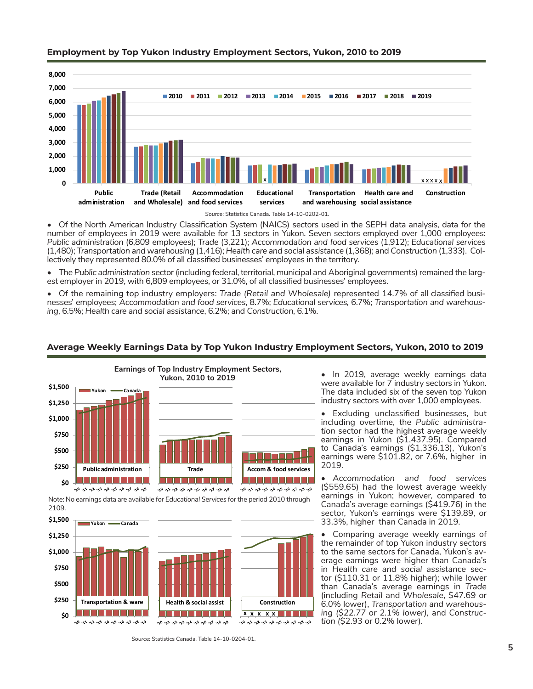

#### **Employment by Top Yukon Industry Employment Sectors, Yukon, 2010 to 2019**

• Of the North American Industry Classification System (NAICS) sectors used in the SEPH data analysis, data for the number of employees in 2019 were available for 13 sectors in Yukon. Seven sectors employed over 1,000 employees: *Public administration* (6,809 employees); *Trade* (3,221); *Accommodation and food services* (1,912); *Educational services* (1,480); *Transportation and warehousing* (1,416); *Health care and social assistance* (1,368); and *Construction* (1,333). Collectively they represented 80.0% of all classified businesses' employees in the territory.

• The *Public administration* sector (including federal, territorial, municipal and Aboriginal governments) remained the largest employer in 2019, with 6,809 employees, or 31.0%, of all classified businesses' employees.

• Of the remaining top industry employers: *Trade (Retail and Wholesale)* represented 14.7% of all classified businesses' employees; *Accommodation and food services*, 8.7%; *Educational services,* 6.7%; *Transportation and warehousing*, 6.5%; *Health care and social assistance*, 6.2%; and *Construction*, 6.1%.

## **Average Weekly Earnings Data by Top Yukon Industry Employment Sectors, Yukon, 2010 to 2019**



Note: No earnings data are available for *Educational Services* for the period 2010 through 2109.



*Source*: Statistics Canada. Table 14-10-0204-01.

• In 2019, average weekly earnings data were available for 7 industry sectors in Yukon. The data included six of the seven top Yukon industry sectors with over 1,000 employees.

• Excluding unclassified businesses, but including overtime, the *Public administration* sector had the highest average weekly earnings in Yukon (\$1,437.95). Compared to Canada's earnings (\$1,336.13), Yukon's earnings were \$101.82, or 7.6%, higher in 2019.

*• Accommodation and food services* (\$559.65) had the lowest average weekly earnings in Yukon; however, compared to Canada's average earnings (\$419.76) in the sector, Yukon's earnings were \$139.89, or 33.3%, higher than Canada in 2019.

• Comparing average weekly earnings of the remainder of top Yukon industry sectors to the same sectors for Canada, Yukon's average earnings were higher than Canada's in *Health care and social assistance* sector (\$110.31 or 11.8% higher); while lower than Canada's average earnings in *Trade* (including *Retail* and *Wholesale*, \$47.69 or 6.0% lower), *Transportation and warehousing (\$22.77 or 2.1% lower),* and *Construction (*\$2.93 or 0.2% lower).

*Source*: Statistics Canada. Table 14-10-0202-01.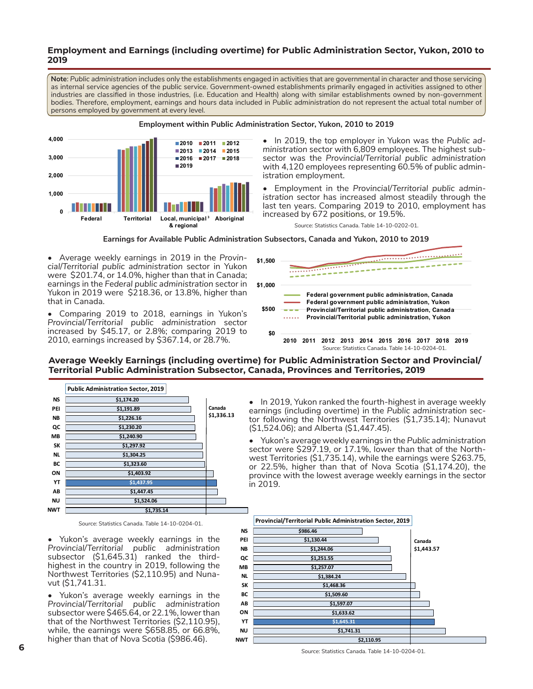#### **Employment and Earnings (including overtime) for Public Administration Sector, Yukon, 2010 to 2019**

**Note**: *Public administration* includes only the establishments engaged in activities that are governmental in character and those servicing as internal service agencies of the public service. Government-owned establishments primarily engaged in activities assigned to other industries are classified in those industries, (i.e. Education and Health) along with similar establishments owned by non-government bodies. Therefore, employment, earnings and hours data included in *Public administration* do not represent the actual total number of persons employed by government at every level.



**Employment within Public Administration Sector, Yukon, 2010 to 2019**

• In 2019, the top employer in Yukon was the *Public administration* sector with 6,809 employees. The highest subsector was the *Provincial/Territorial public administration* with 4,120 employees representing 60.5% of public administration employment.

• Employment in the *Provincial/Territorial public administration* sector has increased almost steadily through the last ten years. Comparing 2019 to 2010, employment has increased by 672 positions, or 19.5%.

*Source*: Statistics Canada. Table 14-10-0202-01.

**Earnings for Available Public Administration Subsectors, Canada and Yukon, 2010 to 2019 \$2,000**

• Average weekly earnings in 2019 in the *Provincial*/*Territorial public administration* sector in Yukon were \$201.74, or 14.0%, higher than that in Canada; earnings in the *Federal public administration* sector in Yukon in 2019 were \$218.36, or 13.8%, higher than that in Canada.

• Comparing 2019 to 2018, earnings in Yukon's *Provincial/Territorial public administration* sector increased by \$45.17, or 2.8%; comparing 2019 to 2010, earnings increased by \$367.14, or 28.7%.



#### **Average Weekly Earnings (including overtime) for Public Administration Sector and Provincial/ Territorial Public Administration Subsector, Canada, Provinces and Territories, 2019**



*Source*: Statistics Canada. Table 14-10-0204-01.

• Yukon's average weekly earnings in the *Provincial/Territorial public administration*  subsector (\$1,645.31) ranked the thirdhighest in the country in 2019, following the Northwest Territories (\$2,110.95) and Nunavut (\$1,741.31.

Yukon's average weekly earnings in the *Provincial/Territorial public administration*  subsector were \$465.64, or 22.1%, lower than that of the Northwest Territories (\$2,110.95), while, the earnings were \$658.85, or 66.8%, higher than that of Nova Scotia (\$986.46).

• In 2019, Yukon ranked the fourth-highest in average weekly earnings (including overtime) in the *Public administration* sector following the Northwest Territories (\$1,735.14); Nunavut (\$1,524.06); and Alberta (\$1,447.45).

• Yukon's average weekly earnings in the *Public administration* sector were \$297.19, or 17.1%, lower than that of the Northwest Territories (\$1,735.14), while the earnings were \$263.75, or 22.5%, higher than that of Nova Scotia (\$1,174.20), the province with the lowest average weekly earnings in the sector in 2019.



*Source*: Statistics Canada. Table 14-10-0204-01.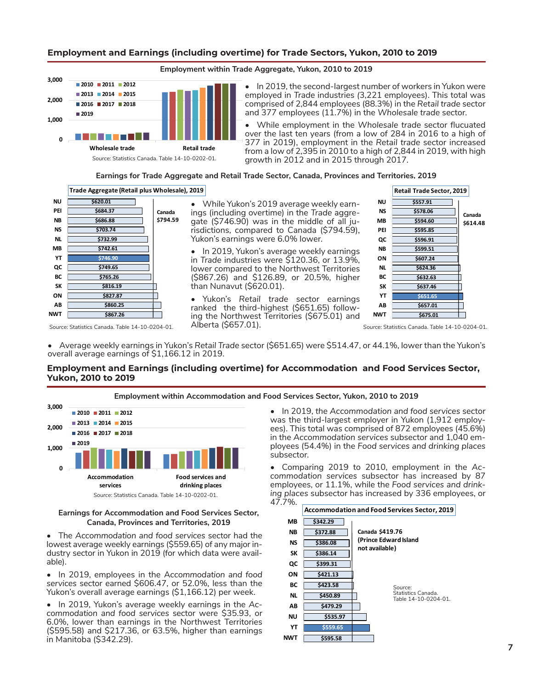#### **Employment and Earnings (including overtime) for Trade Sectors, Yukon, 2010 to 2019**



• In 2019, the second-largest number of workers in Yukon were employed in *Trade* industries *(*3,221 employees). This total was comprised of 2,844 employees (88.3%) in the *Retail trade* sector and 377 employees (11.7%) in the *Wholesale trade* sector.

• While employment in the *Wholesale trade* sector flucuated over the last ten years (from a low of 284 in 2016 to a high of 377 in 2019), employment in the *Retail trade* sector increased from a low of 2,395 in 2010 to a high of 2,844 in 2019, with high growth in 2012 and in 2015 through 2017.

**Earnings for Trade Aggregate and Retail Trade Sector, Canada, Provinces and Territories, 2019**

#### **\$867.26 \$860.25 \$827.87 \$816.19 \$765.26 \$749.65 \$746.90 \$742.61 \$732.99 \$703.74 \$686.88 \$684.37 \$620.01 NWT AB ON SK BC QC YT MB NL NS NB PEI NU Trade Aggregate (Retail plus Wholesale), 2019 Canada \$794.59**

• While Yukon's 2019 average weekly earnings (including overtime) in the *Trade* aggregate (\$746.90) was in the middle of all jurisdictions, compared to Canada (\$794.59), Yukon's earnings were 6.0% lower.

• In 2019, Yukon's average weekly earnings in *Trade* industries were \$120.36, or 13.9%, lower compared to the Northwest Territories (\$867.26) and \$126.89, or 20.5%, higher than Nunavut (\$620.01).

*Source*: Statistics Canada. Table 14-10-0204-01. *Source*: Statistics Canada. Table 14-10-0204-01. • Yukon's *Retail trade* sector earnings ranked the third-highest (\$651.65) following the Northwest Territories (\$675.01) and Alberta (\$657.01).



• Average weekly earnings in Yukon's *Retail Trade* sector (\$651.65) were \$514.47, or 44.1%, lower than the Yukon's overall average earnings of \$1,166.12 in 2019.

#### **Employment and Earnings (including overtime) for Accommodation and Food Services Sector, Yukon, 2010 to 2019**



#### **Earnings for Accommodation and Food Services Sector, Canada, Provinces and Territories, 2019**

• The *Accommodation and food services* sector had the lowest average weekly earnings (\$559.65) of any major industry sector in Yukon in 2019 (for which data were available).

• In 2019, employees in the A*ccommodation and food services* sector earned \$606.47, or 52.0%, less than the Yukon's overall average earnings (\$1,166.12) per week.

• In 2019, Yukon's average weekly earnings in the *Accommodation and food services* sector were \$35.93, or 6.0%, lower than earnings in the Northwest Territories (\$595.58) and \$217.36, or 63.5%, higher than earnings in Manitoba (\$342.29).

• In 2019, *the Accommodation and food services* sector was the third-largest employer in Yukon (1,912 employees). This total was comprised of 872 employees (45.6%) in the *Accommodation services* subsector and 1,040 employees (54.4%) in the *Food services and drinking places*  subsector.

• Comparing 2019 to 2010, employment in the *Accommodation services* subsector has increased by 87 employees, or 11.1%, while the *Food services and drinking places* subsector has increased by 336 employees, or 47.7%.

|           |          | <b>Accommodation and Food Services Sector, 2019</b> |  |  |  |  |  |
|-----------|----------|-----------------------------------------------------|--|--|--|--|--|
| MВ        | \$342.29 |                                                     |  |  |  |  |  |
| NΒ        | \$372.88 | Canada \$419.76                                     |  |  |  |  |  |
| ΝS        | \$386.08 | (Prince Edward Island<br>not available)             |  |  |  |  |  |
| SΚ        | \$386.14 |                                                     |  |  |  |  |  |
| QC        | \$399.31 |                                                     |  |  |  |  |  |
| OΝ        | \$421.13 |                                                     |  |  |  |  |  |
| ВC        | \$423.58 | Source:                                             |  |  |  |  |  |
| <b>NL</b> | \$450.89 | Statistics Canada.<br>Table 14-10-0204-01.          |  |  |  |  |  |
| AΒ        | \$479.29 |                                                     |  |  |  |  |  |
| ΝU        | \$535.97 |                                                     |  |  |  |  |  |
| YΤ        | \$559.65 |                                                     |  |  |  |  |  |
| NWT       | \$595.58 |                                                     |  |  |  |  |  |

#### **Employment within Accommodation and Food Services Sector, Yukon, 2010 to 2019**